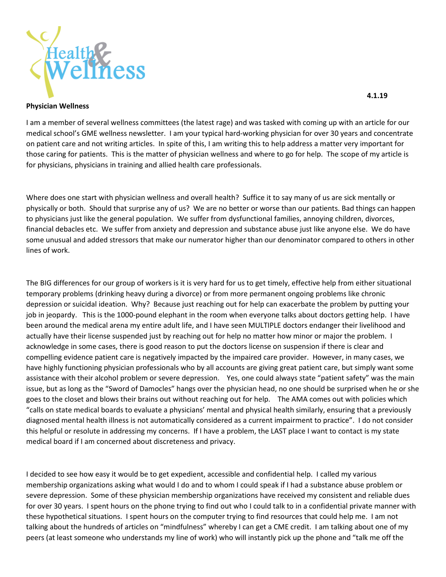

## **Physician Wellness**

I am a member of several wellness committees (the latest rage) and was tasked with coming up with an article for our medical school's GME wellness newsletter. I am your typical hard-working physician for over 30 years and concentrate on patient care and not writing articles. In spite of this, I am writing this to help address a matter very important for those caring for patients. This is the matter of physician wellness and where to go for help. The scope of my article is for physicians, physicians in training and allied health care professionals.

Where does one start with physician wellness and overall health? Suffice it to say many of us are sick mentally or physically or both. Should that surprise any of us? We are no better or worse than our patients. Bad things can happen to physicians just like the general population. We suffer from dysfunctional families, annoying children, divorces, financial debacles etc. We suffer from anxiety and depression and substance abuse just like anyone else. We do have some unusual and added stressors that make our numerator higher than our denominator compared to others in other lines of work.

The BIG differences for our group of workers is it is very hard for us to get timely, effective help from either situational temporary problems (drinking heavy during a divorce) or from more permanent ongoing problems like chronic depression or suicidal ideation. Why? Because just reaching out for help can exacerbate the problem by putting your job in jeopardy. This is the 1000-pound elephant in the room when everyone talks about doctors getting help. I have been around the medical arena my entire adult life, and I have seen MULTIPLE doctors endanger their livelihood and actually have their license suspended just by reaching out for help no matter how minor or major the problem. I acknowledge in some cases, there is good reason to put the doctors license on suspension if there is clear and compelling evidence patient care is negatively impacted by the impaired care provider. However, in many cases, we have highly functioning physician professionals who by all accounts are giving great patient care, but simply want some assistance with their alcohol problem or severe depression. Yes, one could always state "patient safety" was the main issue, but as long as the "Sword of Damocles" hangs over the physician head, no one should be surprised when he or she goes to the closet and blows their brains out without reaching out for help. The AMA comes out with policies which "calls on state medical boards to evaluate a physicians' mental and physical health similarly, ensuring that a previously diagnosed mental health illness is not automatically considered as a current impairment to practice". I do not consider this helpful or resolute in addressing my concerns. If I have a problem, the LAST place I want to contact is my state medical board if I am concerned about discreteness and privacy.

I decided to see how easy it would be to get expedient, accessible and confidential help. I called my various membership organizations asking what would I do and to whom I could speak if I had a substance abuse problem or severe depression. Some of these physician membership organizations have received my consistent and reliable dues for over 30 years. I spent hours on the phone trying to find out who I could talk to in a confidential private manner with these hypothetical situations. I spent hours on the computer trying to find resources that could help me. I am not talking about the hundreds of articles on "mindfulness" whereby I can get a CME credit. I am talking about one of my peers (at least someone who understands my line of work) who will instantly pick up the phone and "talk me off the